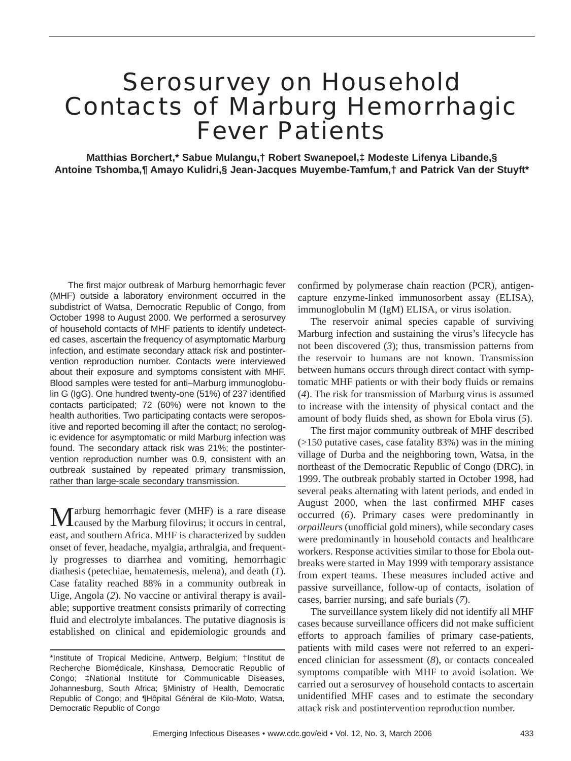# Serosurvey on Household Contacts of Marburg Hemorrhagic Fever Patients

**Matthias Borchert,\* Sabue Mulangu,† Robert Swanepoel,‡ Modeste Lifenya Libande,§ Antoine Tshomba,¶ Amayo Kulidri,§ Jean-Jacques Muyembe-Tamfum,† and Patrick Van der Stuyft\***

The first major outbreak of Marburg hemorrhagic fever (MHF) outside a laboratory environment occurred in the subdistrict of Watsa, Democratic Republic of Congo, from October 1998 to August 2000. We performed a serosurvey of household contacts of MHF patients to identify undetected cases, ascertain the frequency of asymptomatic Marburg infection, and estimate secondary attack risk and postintervention reproduction number. Contacts were interviewed about their exposure and symptoms consistent with MHF. Blood samples were tested for anti–Marburg immunoglobulin G (IgG). One hundred twenty-one (51%) of 237 identified contacts participated; 72 (60%) were not known to the health authorities. Two participating contacts were seropositive and reported becoming ill after the contact; no serologic evidence for asymptomatic or mild Marburg infection was found. The secondary attack risk was 21%; the postintervention reproduction number was 0.9, consistent with an outbreak sustained by repeated primary transmission, rather than large-scale secondary transmission.

Marburg hemorrhagic fever (MHF) is a rare disease caused by the Marburg filovirus; it occurs in central, east, and southern Africa. MHF is characterized by sudden onset of fever, headache, myalgia, arthralgia, and frequently progresses to diarrhea and vomiting, hemorrhagic diathesis (petechiae, hematemesis, melena), and death (*1*). Case fatality reached 88% in a community outbreak in Uige, Angola (*2*). No vaccine or antiviral therapy is available; supportive treatment consists primarily of correcting fluid and electrolyte imbalances. The putative diagnosis is established on clinical and epidemiologic grounds and

confirmed by polymerase chain reaction (PCR), antigencapture enzyme-linked immunosorbent assay (ELISA), immunoglobulin M (IgM) ELISA, or virus isolation.

The reservoir animal species capable of surviving Marburg infection and sustaining the virus's lifecycle has not been discovered (*3*); thus, transmission patterns from the reservoir to humans are not known. Transmission between humans occurs through direct contact with symptomatic MHF patients or with their body fluids or remains (*4*). The risk for transmission of Marburg virus is assumed to increase with the intensity of physical contact and the amount of body fluids shed, as shown for Ebola virus (*5*).

The first major community outbreak of MHF described (>150 putative cases, case fatality 83%) was in the mining village of Durba and the neighboring town, Watsa, in the northeast of the Democratic Republic of Congo (DRC), in 1999. The outbreak probably started in October 1998, had several peaks alternating with latent periods, and ended in August 2000, when the last confirmed MHF cases occurred (*6*). Primary cases were predominantly in *orpailleurs* (unofficial gold miners), while secondary cases were predominantly in household contacts and healthcare workers. Response activities similar to those for Ebola outbreaks were started in May 1999 with temporary assistance from expert teams. These measures included active and passive surveillance, follow-up of contacts, isolation of cases, barrier nursing, and safe burials (*7*).

The surveillance system likely did not identify all MHF cases because surveillance officers did not make sufficient efforts to approach families of primary case-patients, patients with mild cases were not referred to an experienced clinician for assessment (*8*), or contacts concealed symptoms compatible with MHF to avoid isolation. We carried out a serosurvey of household contacts to ascertain unidentified MHF cases and to estimate the secondary attack risk and postintervention reproduction number.

<sup>\*</sup>Institute of Tropical Medicine, Antwerp, Belgium; †Institut de Recherche Biomédicale, Kinshasa, Democratic Republic of Congo; ‡National Institute for Communicable Diseases, Johannesburg, South Africa; §Ministry of Health, Democratic Republic of Congo; and ¶Hôpital Général de Kilo-Moto, Watsa, Democratic Republic of Congo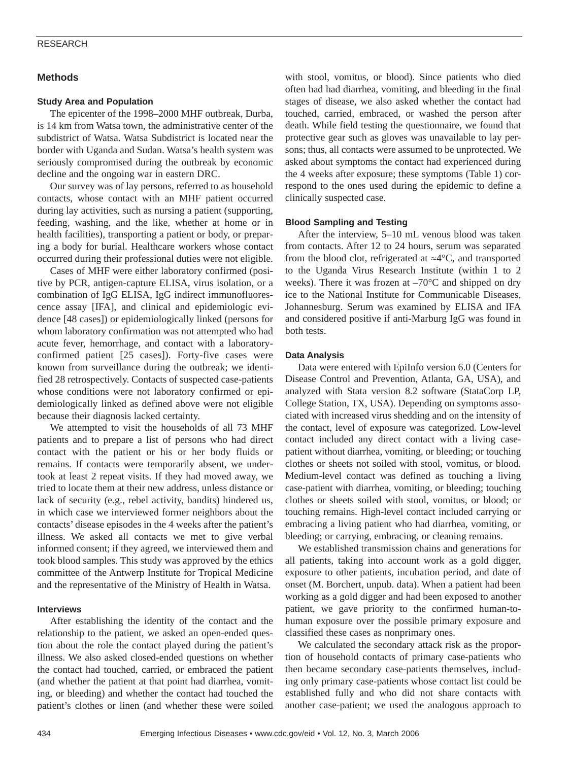## RESEARCH

# **Methods**

## **Study Area and Population**

The epicenter of the 1998–2000 MHF outbreak, Durba, is 14 km from Watsa town, the administrative center of the subdistrict of Watsa. Watsa Subdistrict is located near the border with Uganda and Sudan. Watsa's health system was seriously compromised during the outbreak by economic decline and the ongoing war in eastern DRC.

Our survey was of lay persons, referred to as household contacts, whose contact with an MHF patient occurred during lay activities, such as nursing a patient (supporting, feeding, washing, and the like, whether at home or in health facilities), transporting a patient or body, or preparing a body for burial. Healthcare workers whose contact occurred during their professional duties were not eligible.

Cases of MHF were either laboratory confirmed (positive by PCR, antigen-capture ELISA, virus isolation, or a combination of IgG ELISA, IgG indirect immunofluorescence assay [IFA], and clinical and epidemiologic evidence [48 cases]) or epidemiologically linked (persons for whom laboratory confirmation was not attempted who had acute fever, hemorrhage, and contact with a laboratoryconfirmed patient [25 cases]). Forty-five cases were known from surveillance during the outbreak; we identified 28 retrospectively. Contacts of suspected case-patients whose conditions were not laboratory confirmed or epidemiologically linked as defined above were not eligible because their diagnosis lacked certainty.

We attempted to visit the households of all 73 MHF patients and to prepare a list of persons who had direct contact with the patient or his or her body fluids or remains. If contacts were temporarily absent, we undertook at least 2 repeat visits. If they had moved away, we tried to locate them at their new address, unless distance or lack of security (e.g., rebel activity, bandits) hindered us, in which case we interviewed former neighbors about the contacts' disease episodes in the 4 weeks after the patient's illness. We asked all contacts we met to give verbal informed consent; if they agreed, we interviewed them and took blood samples. This study was approved by the ethics committee of the Antwerp Institute for Tropical Medicine and the representative of the Ministry of Health in Watsa.

## **Interviews**

After establishing the identity of the contact and the relationship to the patient, we asked an open-ended question about the role the contact played during the patient's illness. We also asked closed-ended questions on whether the contact had touched, carried, or embraced the patient (and whether the patient at that point had diarrhea, vomiting, or bleeding) and whether the contact had touched the patient's clothes or linen (and whether these were soiled with stool, vomitus, or blood). Since patients who died often had had diarrhea, vomiting, and bleeding in the final stages of disease, we also asked whether the contact had touched, carried, embraced, or washed the person after death. While field testing the questionnaire, we found that protective gear such as gloves was unavailable to lay persons; thus, all contacts were assumed to be unprotected. We asked about symptoms the contact had experienced during the 4 weeks after exposure; these symptoms (Table 1) correspond to the ones used during the epidemic to define a clinically suspected case.

## **Blood Sampling and Testing**

After the interview, 5–10 mL venous blood was taken from contacts. After 12 to 24 hours, serum was separated from the blood clot, refrigerated at  $\approx 4^{\circ}C$ , and transported to the Uganda Virus Research Institute (within 1 to 2 weeks). There it was frozen at –70°C and shipped on dry ice to the National Institute for Communicable Diseases, Johannesburg. Serum was examined by ELISA and IFA and considered positive if anti-Marburg IgG was found in both tests.

#### **Data Analysis**

Data were entered with EpiInfo version 6.0 (Centers for Disease Control and Prevention, Atlanta, GA, USA), and analyzed with Stata version 8.2 software (StataCorp LP, College Station, TX, USA). Depending on symptoms associated with increased virus shedding and on the intensity of the contact, level of exposure was categorized. Low-level contact included any direct contact with a living casepatient without diarrhea, vomiting, or bleeding; or touching clothes or sheets not soiled with stool, vomitus, or blood. Medium-level contact was defined as touching a living case-patient with diarrhea, vomiting, or bleeding; touching clothes or sheets soiled with stool, vomitus, or blood; or touching remains. High-level contact included carrying or embracing a living patient who had diarrhea, vomiting, or bleeding; or carrying, embracing, or cleaning remains.

We established transmission chains and generations for all patients, taking into account work as a gold digger, exposure to other patients, incubation period, and date of onset (M. Borchert, unpub. data). When a patient had been working as a gold digger and had been exposed to another patient, we gave priority to the confirmed human-tohuman exposure over the possible primary exposure and classified these cases as nonprimary ones.

We calculated the secondary attack risk as the proportion of household contacts of primary case-patients who then became secondary case-patients themselves, including only primary case-patients whose contact list could be established fully and who did not share contacts with another case-patient; we used the analogous approach to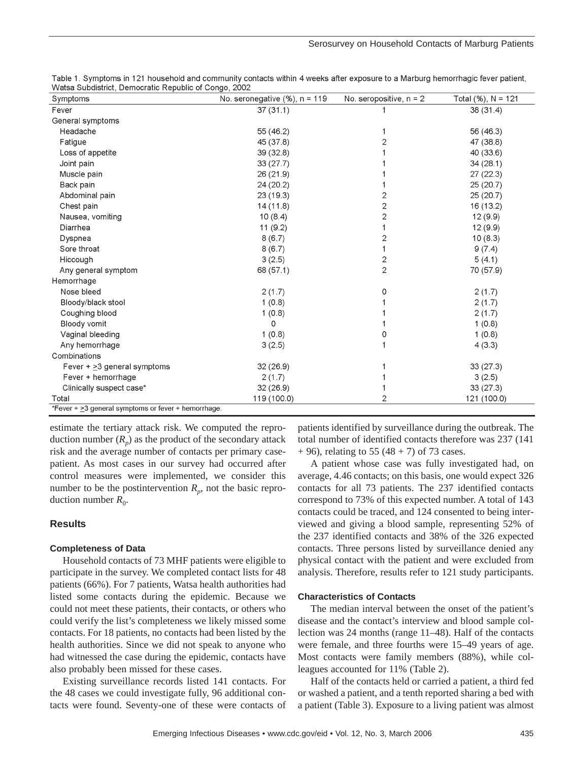| Symptoms                                            | No. seronegative $(% \mathcal{L}_{0})$ , n = 119 | No. seropositive, $n = 2$ | Total (%), N = 121 |
|-----------------------------------------------------|--------------------------------------------------|---------------------------|--------------------|
| Fever                                               | 37(31.1)                                         |                           | 38(31.4)           |
| General symptoms                                    |                                                  |                           |                    |
| Headache                                            | 55 (46.2)                                        |                           | 56 (46.3)          |
| Fatigue                                             | 45 (37.8)                                        | 2                         | 47 (38.8)          |
| Loss of appetite                                    | 39 (32.8)                                        |                           | 40 (33.6)          |
| Joint pain                                          | 33(27.7)                                         |                           | 34(28.1)           |
| Muscle pain                                         | 26 (21.9)                                        |                           | 27(22.3)           |
| Back pain                                           | 24(20.2)                                         |                           | 25(20.7)           |
| Abdominal pain                                      | 23 (19.3)                                        | 2                         | 25 (20.7)          |
| Chest pain                                          | 14 (11.8)                                        | 2                         | 16 (13.2)          |
| Nausea, vomiting                                    | 10(8.4)                                          | 2                         | 12(9.9)            |
| Diarrhea                                            | 11(9.2)                                          |                           | 12(9.9)            |
| Dyspnea                                             | 8(6.7)                                           | 2                         | 10(8.3)            |
| Sore throat                                         | 8(6.7)                                           |                           | 9(7.4)             |
| Hiccough                                            | 3(2.5)                                           | 2                         | 5(4.1)             |
| Any general symptom                                 | 68 (57.1)                                        | $\overline{2}$            | 70 (57.9)          |
| Hemorrhage                                          |                                                  |                           |                    |
| Nose bleed                                          | 2(1.7)                                           | 0                         | 2(1.7)             |
| Bloody/black stool                                  | 1(0.8)                                           |                           | 2(1.7)             |
| Coughing blood                                      | 1(0.8)                                           |                           | 2(1.7)             |
| Bloody vomit                                        | 0                                                |                           | 1(0.8)             |
| Vaginal bleeding                                    | 1(0.8)                                           | 0                         | 1(0.8)             |
| Any hemorrhage                                      | 3(2.5)                                           |                           | 4(3.3)             |
| Combinations                                        |                                                  |                           |                    |
| Fever + > 3 general symptoms                        | 32 (26.9)                                        |                           | 33(27.3)           |
| Fever + hemorrhage                                  | 2(1.7)                                           |                           | 3(2.5)             |
| Clinically suspect case*                            | 32(26.9)                                         |                           | 33(27.3)           |
| Total                                               | 119 (100.0)                                      | 2                         | 121 (100.0)        |
| *Fever + >3 general symptoms or fever + hemorrhage. |                                                  |                           |                    |

Table 1. Symptoms in 121 household and community contacts within 4 weeks after exposure to a Marburg hemorrhagic fever patient, Watsa Subdistrict, Democratic Republic of Congo, 2002

estimate the tertiary attack risk. We computed the reproduction number  $(R_p)$  as the product of the secondary attack risk and the average number of contacts per primary casepatient. As most cases in our survey had occurred after control measures were implemented, we consider this number to be the postintervention  $R_p$ , not the basic reproduction number  $R_0$ .

# **Results**

## **Completeness of Data**

Household contacts of 73 MHF patients were eligible to participate in the survey. We completed contact lists for 48 patients (66%). For 7 patients, Watsa health authorities had listed some contacts during the epidemic. Because we could not meet these patients, their contacts, or others who could verify the list's completeness we likely missed some contacts. For 18 patients, no contacts had been listed by the health authorities. Since we did not speak to anyone who had witnessed the case during the epidemic, contacts have also probably been missed for these cases.

Existing surveillance records listed 141 contacts. For the 48 cases we could investigate fully, 96 additional contacts were found. Seventy-one of these were contacts of

patients identified by surveillance during the outbreak. The total number of identified contacts therefore was 237 (141  $+ 96$ ), relating to 55 (48 + 7) of 73 cases.

A patient whose case was fully investigated had, on average, 4.46 contacts; on this basis, one would expect 326 contacts for all 73 patients. The 237 identified contacts correspond to 73% of this expected number. A total of 143 contacts could be traced, and 124 consented to being interviewed and giving a blood sample, representing 52% of the 237 identified contacts and 38% of the 326 expected contacts. Three persons listed by surveillance denied any physical contact with the patient and were excluded from analysis. Therefore, results refer to 121 study participants.

## **Characteristics of Contacts**

The median interval between the onset of the patient's disease and the contact's interview and blood sample collection was 24 months (range 11–48). Half of the contacts were female, and three fourths were 15–49 years of age. Most contacts were family members (88%), while colleagues accounted for 11% (Table 2).

Half of the contacts held or carried a patient, a third fed or washed a patient, and a tenth reported sharing a bed with a patient (Table 3). Exposure to a living patient was almost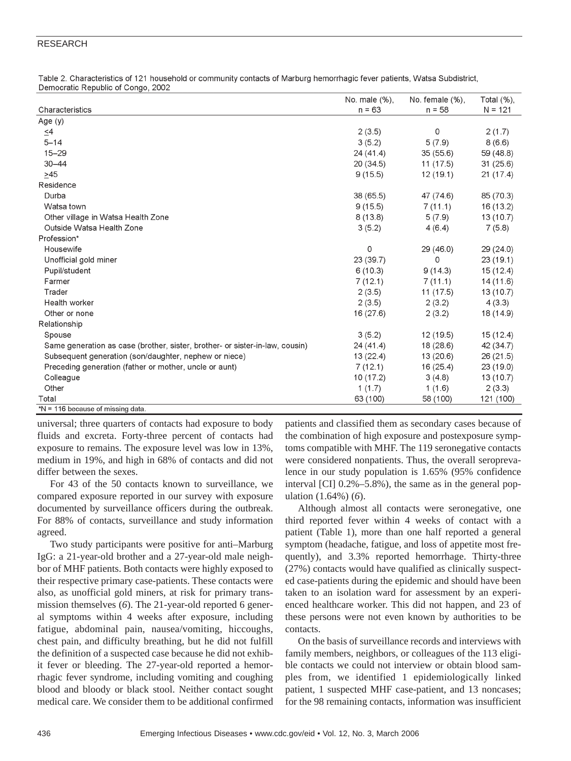## RESEARCH

Table 2. Characteristics of 121 household or community contacts of Marburg hemorrhagic fever patients, Watsa Subdistrict, Democratic Republic of Congo, 2002

|                                                                              | No. male (%), | No. female $(\%)$ , | Total (%), |
|------------------------------------------------------------------------------|---------------|---------------------|------------|
| Characteristics                                                              | $n = 63$      | $n = 58$            | $N = 121$  |
| Age (y)                                                                      |               |                     |            |
| $\leq 4$                                                                     | 2(3.5)        | 0                   | 2(1.7)     |
| $5 - 14$                                                                     | 3(5.2)        | 5(7.9)              | 8(6.6)     |
| $15 - 29$                                                                    | 24(41.4)      | 35(55.6)            | 59 (48.8)  |
| $30 - 44$                                                                    | 20(34.5)      | 11 (17.5)           | 31(25.6)   |
| >45                                                                          | 9(15.5)       | 12(19.1)            | 21(17.4)   |
| Residence                                                                    |               |                     |            |
| Durba                                                                        | 38 (65.5)     | 47 (74.6)           | 85 (70.3)  |
| Watsa town                                                                   | 9(15.5)       | 7(11.1)             | 16(13.2)   |
| Other village in Watsa Health Zone                                           | 8(13.8)       | 5(7.9)              | 13(10.7)   |
| Outside Watsa Health Zone                                                    | 3(5.2)        | 4(6.4)              | 7(5.8)     |
| Profession*                                                                  |               |                     |            |
| Housewife                                                                    | 0             | 29 (46.0)           | 29(24.0)   |
| Unofficial gold miner                                                        | 23 (39.7)     | 0                   | 23(19.1)   |
| Pupil/student                                                                | 6(10.3)       | 9(14.3)             | 15(12.4)   |
| Farmer                                                                       | 7(12.1)       | 7(11.1)             | 14(11.6)   |
| Trader                                                                       | 2(3.5)        | 11 (17.5)           | 13(10.7)   |
| Health worker                                                                | 2(3.5)        | 2(3.2)              | 4(3.3)     |
| Other or none                                                                | 16 (27.6)     | 2(3.2)              | 18 (14.9)  |
| Relationship                                                                 |               |                     |            |
| Spouse                                                                       | 3(5.2)        | 12(19.5)            | 15(12.4)   |
| Same generation as case (brother, sister, brother- or sister-in-law, cousin) | 24(41.4)      | 18 (28.6)           | 42 (34.7)  |
| Subsequent generation (son/daughter, nephew or niece)                        | 13(22.4)      | 13 (20.6)           | 26(21.5)   |
| Preceding generation (father or mother, uncle or aunt)                       | 7(12.1)       | 16(25.4)            | 23(19.0)   |
| Colleague                                                                    | 10 (17.2)     | 3(4.8)              | 13(10.7)   |
| Other                                                                        | 1(1.7)        | 1(1.6)              | 2(3.3)     |
| Total                                                                        | 63 (100)      | 58 (100)            | 121 (100)  |
| *N = 116 hecause of missing data                                             |               |                     |            |

universal; three quarters of contacts had exposure to body fluids and excreta. Forty-three percent of contacts had exposure to remains. The exposure level was low in 13%, medium in 19%, and high in 68% of contacts and did not differ between the sexes.

For 43 of the 50 contacts known to surveillance, we compared exposure reported in our survey with exposure documented by surveillance officers during the outbreak. For 88% of contacts, surveillance and study information agreed.

Two study participants were positive for anti–Marburg IgG: a 21-year-old brother and a 27-year-old male neighbor of MHF patients. Both contacts were highly exposed to their respective primary case-patients. These contacts were also, as unofficial gold miners, at risk for primary transmission themselves (*6*). The 21-year-old reported 6 general symptoms within 4 weeks after exposure, including fatigue, abdominal pain, nausea/vomiting, hiccoughs, chest pain, and difficulty breathing, but he did not fulfill the definition of a suspected case because he did not exhibit fever or bleeding. The 27-year-old reported a hemorrhagic fever syndrome, including vomiting and coughing blood and bloody or black stool. Neither contact sought medical care. We consider them to be additional confirmed patients and classified them as secondary cases because of the combination of high exposure and postexposure symptoms compatible with MHF. The 119 seronegative contacts were considered nonpatients. Thus, the overall seroprevalence in our study population is 1.65% (95% confidence interval [CI] 0.2%–5.8%), the same as in the general population (1.64%) (*6*).

Although almost all contacts were seronegative, one third reported fever within 4 weeks of contact with a patient (Table 1), more than one half reported a general symptom (headache, fatigue, and loss of appetite most frequently), and 3.3% reported hemorrhage. Thirty-three (27%) contacts would have qualified as clinically suspected case-patients during the epidemic and should have been taken to an isolation ward for assessment by an experienced healthcare worker. This did not happen, and 23 of these persons were not even known by authorities to be contacts.

On the basis of surveillance records and interviews with family members, neighbors, or colleagues of the 113 eligible contacts we could not interview or obtain blood samples from, we identified 1 epidemiologically linked patient, 1 suspected MHF case-patient, and 13 noncases; for the 98 remaining contacts, information was insufficient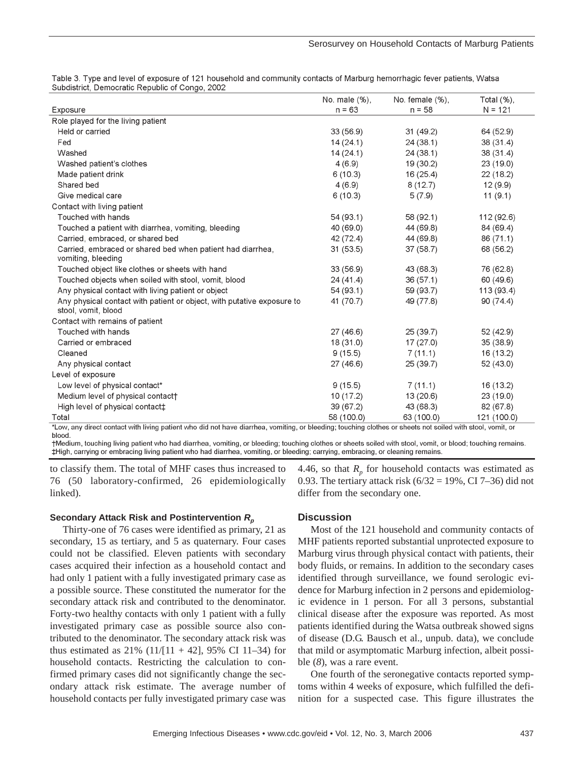| Table 3. Type and level of exposure of 121 household and community contacts of Marburg hemorrhagic fever patients, Watsa |  |  |
|--------------------------------------------------------------------------------------------------------------------------|--|--|
| Subdistrict, Democratic Republic of Congo, 2002                                                                          |  |  |

|                                                                                               | No. male (%), | No. female (%), | Total $(\%)$ , |
|-----------------------------------------------------------------------------------------------|---------------|-----------------|----------------|
| Exposure                                                                                      | $n = 63$      | $n = 58$        | $N = 121$      |
| Role played for the living patient                                                            |               |                 |                |
| Held or carried                                                                               | 33(56.9)      | 31 (49.2)       | 64 (52.9)      |
| Fed                                                                                           | 14(24.1)      | 24(38.1)        | 38(31.4)       |
| Washed                                                                                        | 14(24.1)      | 24 (38.1)       | 38(31.4)       |
| Washed patient's clothes                                                                      | 4(6.9)        | 19 (30.2)       | 23 (19.0)      |
| Made patient drink                                                                            | 6(10.3)       | 16(25.4)        | 22(18.2)       |
| Shared bed                                                                                    | 4(6.9)        | 8(12.7)         | 12(9.9)        |
| Give medical care                                                                             | 6(10.3)       | 5(7.9)          | 11(9.1)        |
| Contact with living patient                                                                   |               |                 |                |
| Touched with hands                                                                            | 54 (93.1)     | 58 (92.1)       | 112 (92.6)     |
| Touched a patient with diarrhea, vomiting, bleeding                                           | 40 (69.0)     | 44 (69.8)       | 84 (69.4)      |
| Carried, embraced, or shared bed                                                              | 42 (72.4)     | 44 (69.8)       | 86 (71.1)      |
| Carried, embraced or shared bed when patient had diarrhea,<br>vomiting, bleeding              | 31(53.5)      | 37 (58.7)       | 68 (56.2)      |
| Touched object like clothes or sheets with hand                                               | 33 (56.9)     | 43 (68.3)       | 76 (62.8)      |
| Touched objects when soiled with stool, vomit, blood                                          | 24(41.4)      | 36(57.1)        | 60(49.6)       |
| Any physical contact with living patient or object                                            | 54(93.1)      | 59 (93.7)       | 113 (93.4)     |
| Any physical contact with patient or object, with putative exposure to<br>stool, vomit, blood | 41 (70.7)     | 49 (77.8)       | 90(74.4)       |
| Contact with remains of patient                                                               |               |                 |                |
| Touched with hands                                                                            | 27(46.6)      | 25 (39.7)       | 52(42.9)       |
| Carried or embraced                                                                           | 18 (31.0)     | 17(27.0)        | 35(38.9)       |
| Cleaned                                                                                       | 9(15.5)       | 7(11.1)         | 16(13.2)       |
| Any physical contact                                                                          | 27 (46.6)     | 25 (39.7)       | 52(43.0)       |
| Level of exposure                                                                             |               |                 |                |
| Low level of physical contact*                                                                | 9(15.5)       | 7(11.1)         | 16(13.2)       |
| Medium level of physical contact†                                                             | 10 (17.2)     | 13(20.6)        | 23(19.0)       |
| High level of physical contact‡                                                               | 39(67.2)      | 43 (68.3)       | 82 (67.8)      |
| Total                                                                                         | 58 (100.0)    | 63 (100.0)      | 121 (100.0)    |

Now, any direct contact with living patient who did not have diarrhea, vomiting, or bleeding; touching clothes or sheets not soiled with stool, vomit, or " blood

†Medium, touching living patient who had diarrhea, vomiting, or bleeding; touching clothes or sheets soiled with stool, vomit, or blood; touching remains. #High, carrying or embracing living patient who had diarrhea, vomiting, or bleeding; carrying, embracing, or cleaning remains.

to classify them. The total of MHF cases thus increased to 76 (50 laboratory-confirmed, 26 epidemiologically linked).

## **Secondary Attack Risk and Postintervention** *Rp*

Thirty-one of 76 cases were identified as primary, 21 as secondary, 15 as tertiary, and 5 as quaternary. Four cases could not be classified. Eleven patients with secondary cases acquired their infection as a household contact and had only 1 patient with a fully investigated primary case as a possible source. These constituted the numerator for the secondary attack risk and contributed to the denominator. Forty-two healthy contacts with only 1 patient with a fully investigated primary case as possible source also contributed to the denominator. The secondary attack risk was thus estimated as  $21\%$  ( $11/[11 + 42]$ , 95% CI 11–34) for household contacts. Restricting the calculation to confirmed primary cases did not significantly change the secondary attack risk estimate. The average number of household contacts per fully investigated primary case was

4.46, so that  $R_p$  for household contacts was estimated as 0.93. The tertiary attack risk  $(6/32 = 19\% , CI 7-36)$  did not differ from the secondary one.

## **Discussion**

Most of the 121 household and community contacts of MHF patients reported substantial unprotected exposure to Marburg virus through physical contact with patients, their body fluids, or remains. In addition to the secondary cases identified through surveillance, we found serologic evidence for Marburg infection in 2 persons and epidemiologic evidence in 1 person. For all 3 persons, substantial clinical disease after the exposure was reported. As most patients identified during the Watsa outbreak showed signs of disease (D.G. Bausch et al., unpub. data), we conclude that mild or asymptomatic Marburg infection, albeit possible (*8*), was a rare event.

One fourth of the seronegative contacts reported symptoms within 4 weeks of exposure, which fulfilled the definition for a suspected case. This figure illustrates the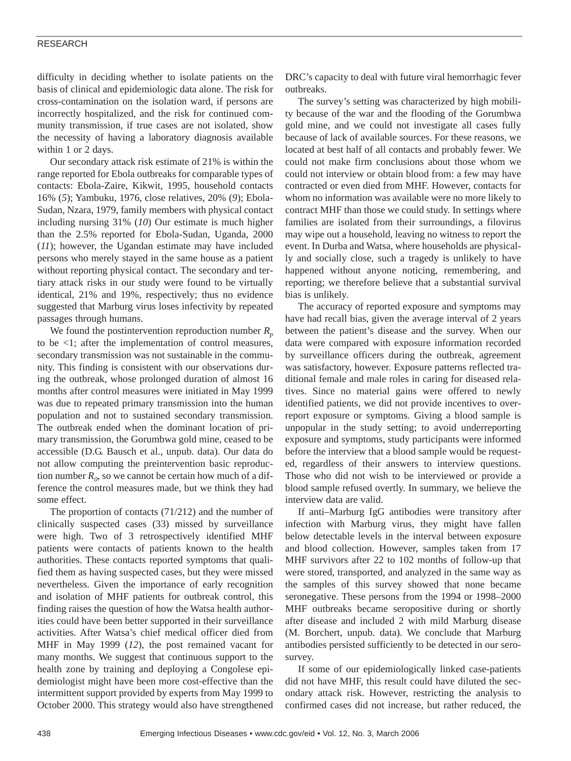## RESEARCH

difficulty in deciding whether to isolate patients on the basis of clinical and epidemiologic data alone. The risk for cross-contamination on the isolation ward, if persons are incorrectly hospitalized, and the risk for continued community transmission, if true cases are not isolated, show the necessity of having a laboratory diagnosis available within 1 or 2 days.

Our secondary attack risk estimate of 21% is within the range reported for Ebola outbreaks for comparable types of contacts: Ebola-Zaire, Kikwit, 1995, household contacts 16% (*5*); Yambuku, 1976, close relatives, 20% (*9*); Ebola-Sudan, Nzara, 1979, family members with physical contact including nursing 31% (*10*) Our estimate is much higher than the 2.5% reported for Ebola-Sudan, Uganda, 2000 (*11*); however, the Ugandan estimate may have included persons who merely stayed in the same house as a patient without reporting physical contact. The secondary and tertiary attack risks in our study were found to be virtually identical, 21% and 19%, respectively; thus no evidence suggested that Marburg virus loses infectivity by repeated passages through humans.

We found the postintervention reproduction number  $R_p$ to be <1; after the implementation of control measures, secondary transmission was not sustainable in the community. This finding is consistent with our observations during the outbreak, whose prolonged duration of almost 16 months after control measures were initiated in May 1999 was due to repeated primary transmission into the human population and not to sustained secondary transmission. The outbreak ended when the dominant location of primary transmission, the Gorumbwa gold mine, ceased to be accessible (D.G. Bausch et al., unpub. data). Our data do not allow computing the preintervention basic reproduction number  $R_0$ , so we cannot be certain how much of a difference the control measures made, but we think they had some effect.

The proportion of contacts (71/212) and the number of clinically suspected cases (33) missed by surveillance were high. Two of 3 retrospectively identified MHF patients were contacts of patients known to the health authorities. These contacts reported symptoms that qualified them as having suspected cases, but they were missed nevertheless. Given the importance of early recognition and isolation of MHF patients for outbreak control, this finding raises the question of how the Watsa health authorities could have been better supported in their surveillance activities. After Watsa's chief medical officer died from MHF in May 1999 (*12*), the post remained vacant for many months. We suggest that continuous support to the health zone by training and deploying a Congolese epidemiologist might have been more cost-effective than the intermittent support provided by experts from May 1999 to October 2000. This strategy would also have strengthened

DRC's capacity to deal with future viral hemorrhagic fever outbreaks.

The survey's setting was characterized by high mobility because of the war and the flooding of the Gorumbwa gold mine, and we could not investigate all cases fully because of lack of available sources. For these reasons, we located at best half of all contacts and probably fewer. We could not make firm conclusions about those whom we could not interview or obtain blood from: a few may have contracted or even died from MHF. However, contacts for whom no information was available were no more likely to contract MHF than those we could study. In settings where families are isolated from their surroundings, a filovirus may wipe out a household, leaving no witness to report the event. In Durba and Watsa, where households are physically and socially close, such a tragedy is unlikely to have happened without anyone noticing, remembering, and reporting; we therefore believe that a substantial survival bias is unlikely.

The accuracy of reported exposure and symptoms may have had recall bias, given the average interval of 2 years between the patient's disease and the survey. When our data were compared with exposure information recorded by surveillance officers during the outbreak, agreement was satisfactory, however. Exposure patterns reflected traditional female and male roles in caring for diseased relatives. Since no material gains were offered to newly identified patients, we did not provide incentives to overreport exposure or symptoms. Giving a blood sample is unpopular in the study setting; to avoid underreporting exposure and symptoms, study participants were informed before the interview that a blood sample would be requested, regardless of their answers to interview questions. Those who did not wish to be interviewed or provide a blood sample refused overtly. In summary, we believe the interview data are valid.

If anti–Marburg IgG antibodies were transitory after infection with Marburg virus, they might have fallen below detectable levels in the interval between exposure and blood collection. However, samples taken from 17 MHF survivors after 22 to 102 months of follow-up that were stored, transported, and analyzed in the same way as the samples of this survey showed that none became seronegative. These persons from the 1994 or 1998–2000 MHF outbreaks became seropositive during or shortly after disease and included 2 with mild Marburg disease (M. Borchert, unpub. data). We conclude that Marburg antibodies persisted sufficiently to be detected in our serosurvey.

If some of our epidemiologically linked case-patients did not have MHF, this result could have diluted the secondary attack risk. However, restricting the analysis to confirmed cases did not increase, but rather reduced, the